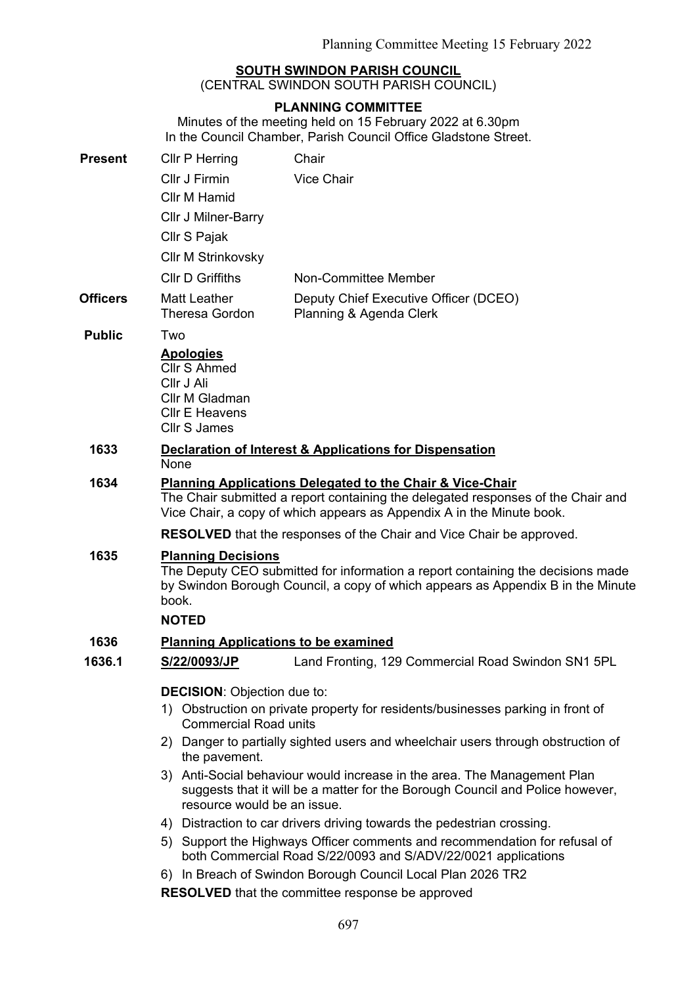## **SOUTH SWINDON PARISH COUNCIL**

(CENTRAL SWINDON SOUTH PARISH COUNCIL)

### **PLANNING COMMITTEE**

Minutes of the meeting held on 15 February 2022 at 6.30pm In the Council Chamber, Parish Council Office Gladstone Street.

| <b>Present</b>  | Cllr P Herring                                                                                                                                                                           | Chair                                                                                                                                                                                                                             |  |
|-----------------|------------------------------------------------------------------------------------------------------------------------------------------------------------------------------------------|-----------------------------------------------------------------------------------------------------------------------------------------------------------------------------------------------------------------------------------|--|
|                 | Cllr J Firmin                                                                                                                                                                            | Vice Chair                                                                                                                                                                                                                        |  |
|                 | Cllr M Hamid                                                                                                                                                                             |                                                                                                                                                                                                                                   |  |
|                 | <b>Cllr J Milner-Barry</b>                                                                                                                                                               |                                                                                                                                                                                                                                   |  |
|                 | Cllr S Pajak                                                                                                                                                                             |                                                                                                                                                                                                                                   |  |
|                 | <b>CIIr M Strinkovsky</b>                                                                                                                                                                |                                                                                                                                                                                                                                   |  |
|                 | <b>CIIr D Griffiths</b>                                                                                                                                                                  | Non-Committee Member                                                                                                                                                                                                              |  |
| <b>Officers</b> | Matt Leather<br><b>Theresa Gordon</b>                                                                                                                                                    | Deputy Chief Executive Officer (DCEO)<br>Planning & Agenda Clerk                                                                                                                                                                  |  |
| <b>Public</b>   | Two                                                                                                                                                                                      |                                                                                                                                                                                                                                   |  |
|                 | <b>Apologies</b><br><b>Cllr S Ahmed</b><br>Cllr J Ali<br>Cllr M Gladman<br><b>CIIr E Heavens</b><br><b>Cllr S James</b>                                                                  |                                                                                                                                                                                                                                   |  |
| 1633            | None                                                                                                                                                                                     | Declaration of Interest & Applications for Dispensation                                                                                                                                                                           |  |
| 1634            |                                                                                                                                                                                          | <b>Planning Applications Delegated to the Chair &amp; Vice-Chair</b><br>The Chair submitted a report containing the delegated responses of the Chair and<br>Vice Chair, a copy of which appears as Appendix A in the Minute book. |  |
|                 | <b>RESOLVED</b> that the responses of the Chair and Vice Chair be approved.                                                                                                              |                                                                                                                                                                                                                                   |  |
| 1635            | <b>Planning Decisions</b>                                                                                                                                                                |                                                                                                                                                                                                                                   |  |
|                 | The Deputy CEO submitted for information a report containing the decisions made<br>by Swindon Borough Council, a copy of which appears as Appendix B in the Minute<br>book.              |                                                                                                                                                                                                                                   |  |
|                 | <b>NOTED</b>                                                                                                                                                                             |                                                                                                                                                                                                                                   |  |
| 1636            |                                                                                                                                                                                          | <b>Planning Applications to be examined</b>                                                                                                                                                                                       |  |
| 1636.1          | S/22/0093/JP                                                                                                                                                                             | Land Fronting, 129 Commercial Road Swindon SN1 5PL                                                                                                                                                                                |  |
|                 | <b>DECISION: Objection due to:</b>                                                                                                                                                       |                                                                                                                                                                                                                                   |  |
|                 | 1) Obstruction on private property for residents/businesses parking in front of<br><b>Commercial Road units</b>                                                                          |                                                                                                                                                                                                                                   |  |
|                 | the pavement.                                                                                                                                                                            | 2) Danger to partially sighted users and wheelchair users through obstruction of                                                                                                                                                  |  |
|                 | 3) Anti-Social behaviour would increase in the area. The Management Plan<br>suggests that it will be a matter for the Borough Council and Police however,<br>resource would be an issue. |                                                                                                                                                                                                                                   |  |
|                 | 4) Distraction to car drivers driving towards the pedestrian crossing.                                                                                                                   |                                                                                                                                                                                                                                   |  |
|                 |                                                                                                                                                                                          | 5) Support the Highways Officer comments and recommendation for refusal of<br>both Commercial Road S/22/0093 and S/ADV/22/0021 applications                                                                                       |  |
|                 |                                                                                                                                                                                          | 6) In Breach of Swindon Borough Council Local Plan 2026 TR2                                                                                                                                                                       |  |

**RESOLVED** that the committee response be approved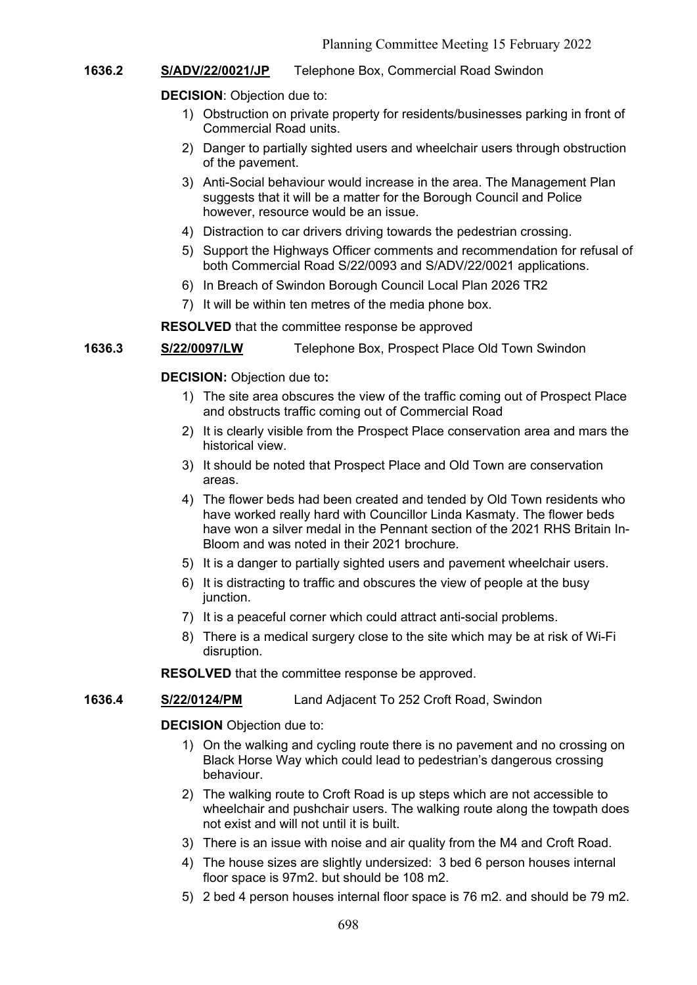# **1636.2 S/ADV/22/0021/JP** Telephone Box, Commercial Road Swindon

## **DECISION**: Objection due to:

- 1) Obstruction on private property for residents/businesses parking in front of Commercial Road units.
- 2) Danger to partially sighted users and wheelchair users through obstruction of the pavement.
- 3) Anti-Social behaviour would increase in the area. The Management Plan suggests that it will be a matter for the Borough Council and Police however, resource would be an issue.
- 4) Distraction to car drivers driving towards the pedestrian crossing.
- 5) Support the Highways Officer comments and recommendation for refusal of both Commercial Road S/22/0093 and S/ADV/22/0021 applications.
- 6) In Breach of Swindon Borough Council Local Plan 2026 TR2
- 7) It will be within ten metres of the media phone box.

**RESOLVED** that the committee response be approved

## **1636.3 S/22/0097/LW** Telephone Box, Prospect Place Old Town Swindon

## **DECISION:** Objection due to**:**

- 1) The site area obscures the view of the traffic coming out of Prospect Place and obstructs traffic coming out of Commercial Road
- 2) It is clearly visible from the Prospect Place conservation area and mars the historical view.
- 3) It should be noted that Prospect Place and Old Town are conservation areas.
- 4) The flower beds had been created and tended by Old Town residents who have worked really hard with Councillor Linda Kasmaty. The flower beds have won a silver medal in the Pennant section of the 2021 RHS Britain In-Bloom and was noted in their 2021 brochure.
- 5) It is a danger to partially sighted users and pavement wheelchair users.
- 6) It is distracting to traffic and obscures the view of people at the busy junction.
- 7) It is a peaceful corner which could attract anti-social problems.
- 8) There is a medical surgery close to the site which may be at risk of Wi-Fi disruption.

**RESOLVED** that the committee response be approved.

#### **1636.4 S/22/0124/PM** Land Adjacent To 252 Croft Road, Swindon

#### **DECISION** Objection due to:

- 1) On the walking and cycling route there is no pavement and no crossing on Black Horse Way which could lead to pedestrian's dangerous crossing behaviour.
- 2) The walking route to Croft Road is up steps which are not accessible to wheelchair and pushchair users. The walking route along the towpath does not exist and will not until it is built.
- 3) There is an issue with noise and air quality from the M4 and Croft Road.
- 4) The house sizes are slightly undersized: 3 bed 6 person houses internal floor space is 97m2. but should be 108 m2.
- 5) 2 bed 4 person houses internal floor space is 76 m2. and should be 79 m2.